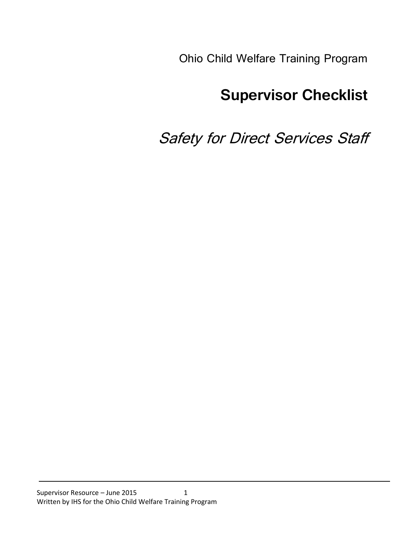Ohio Child Welfare Training Program

# **Supervisor Checklist**

# Safety for Direct Services Staff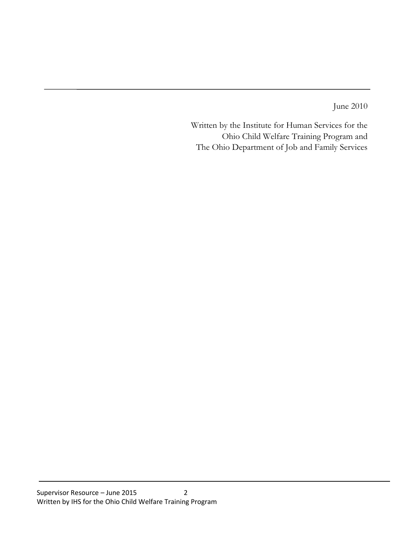June 2010

Written by the Institute for Human Services for the Ohio Child Welfare Training Program and The Ohio Department of Job and Family Services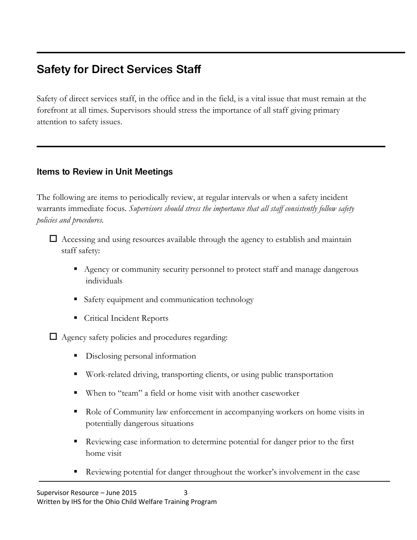# **Safety for Direct Services Staff**

Safety of direct services staff, in the office and in the field, is a vital issue that must remain at the forefront at all times. Supervisors should stress the importance of all staff giving primary attention to safety issues.

## **Items to Review in Unit Meetings**

The following are items to periodically review, at regular intervals or when a safety incident warrants immediate focus. *Supervisors should stress the importance that all staff consistently follow safety policies and procedures.*

 $\Box$  Accessing and using resources available through the agency to establish and maintain staff safety:

- Agency or community security personnel to protect staff and manage dangerous individuals
- Safety equipment and communication technology
- **Critical Incident Reports**

 $\Box$  Agency safety policies and procedures regarding:

- Disclosing personal information
- Work-related driving, transporting clients, or using public transportation
- When to "team" a field or home visit with another caseworker
- Role of Community law enforcement in accompanying workers on home visits in potentially dangerous situations
- Reviewing case information to determine potential for danger prior to the first home visit
- Reviewing potential for danger throughout the worker's involvement in the case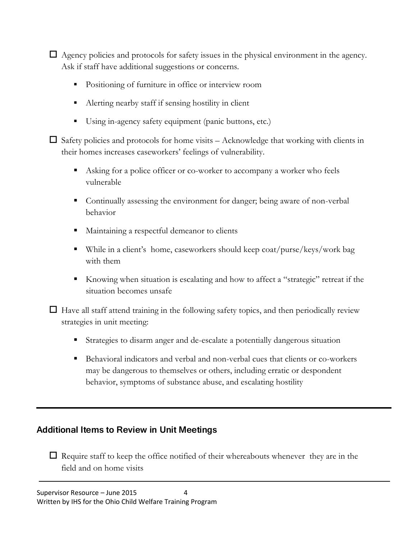$\Box$  Agency policies and protocols for safety issues in the physical environment in the agency. Ask if staff have additional suggestions or concerns.

- Positioning of furniture in office or interview room
- Alerting nearby staff if sensing hostility in client
- Using in-agency safety equipment (panic buttons, etc.)

 $\Box$  Safety policies and protocols for home visits – Acknowledge that working with clients in their homes increases caseworkers' feelings of vulnerability.

- Asking for a police officer or co-worker to accompany a worker who feels vulnerable
- Continually assessing the environment for danger; being aware of non-verbal behavior
- Maintaining a respectful demeanor to clients
- While in a client's home, caseworkers should keep coat/purse/keys/work bag with them
- Knowing when situation is escalating and how to affect a "strategic" retreat if the situation becomes unsafe

 $\Box$  Have all staff attend training in the following safety topics, and then periodically review strategies in unit meeting:

- Strategies to disarm anger and de-escalate a potentially dangerous situation
- Behavioral indicators and verbal and non-verbal cues that clients or co-workers may be dangerous to themselves or others, including erratic or despondent behavior, symptoms of substance abuse, and escalating hostility

### **Additional Items to Review in Unit Meetings**

 $\Box$  Require staff to keep the office notified of their whereabouts whenever they are in the field and on home visits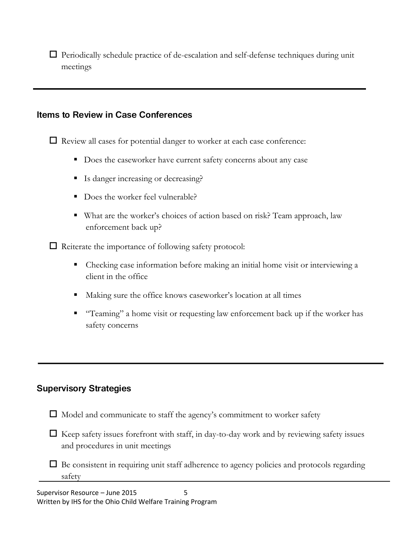$\Box$  Periodically schedule practice of de-escalation and self-defense techniques during unit meetings

#### **Items to Review in Case Conferences**

 $\Box$  Review all cases for potential danger to worker at each case conference:

- Does the caseworker have current safety concerns about any case
- Is danger increasing or decreasing?
- Does the worker feel vulnerable?
- What are the worker's choices of action based on risk? Team approach, law enforcement back up?

 $\Box$  Reiterate the importance of following safety protocol:

- Checking case information before making an initial home visit or interviewing a client in the office
- Making sure the office knows caseworker's location at all times
- "Teaming" a home visit or requesting law enforcement back up if the worker has safety concerns

### **Supervisory Strategies**

- $\Box$  Model and communicate to staff the agency's commitment to worker safety
- $\Box$  Keep safety issues forefront with staff, in day-to-day work and by reviewing safety issues and procedures in unit meetings
- $\Box$  Be consistent in requiring unit staff adherence to agency policies and protocols regarding safety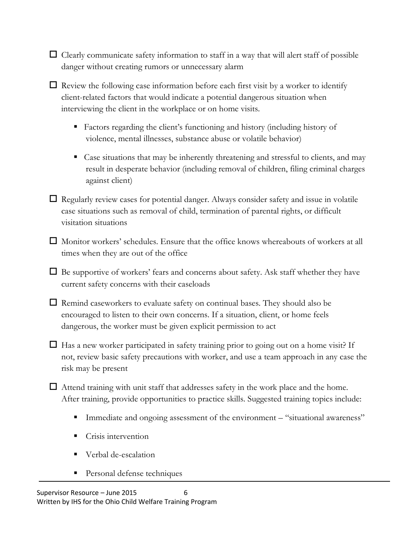- $\Box$  Clearly communicate safety information to staff in a way that will alert staff of possible danger without creating rumors or unnecessary alarm
- $\Box$  Review the following case information before each first visit by a worker to identify client-related factors that would indicate a potential dangerous situation when interviewing the client in the workplace or on home visits.
	- Factors regarding the client's functioning and history (including history of violence, mental illnesses, substance abuse or volatile behavior)
	- Case situations that may be inherently threatening and stressful to clients, and may result in desperate behavior (including removal of children, filing criminal charges against client)
- $\Box$  Regularly review cases for potential danger. Always consider safety and issue in volatile case situations such as removal of child, termination of parental rights, or difficult visitation situations
- $\Box$  Monitor workers' schedules. Ensure that the office knows whereabouts of workers at all times when they are out of the office
- $\Box$  Be supportive of workers' fears and concerns about safety. Ask staff whether they have current safety concerns with their caseloads
- $\Box$  Remind caseworkers to evaluate safety on continual bases. They should also be encouraged to listen to their own concerns. If a situation, client, or home feels dangerous, the worker must be given explicit permission to act
- $\Box$  Has a new worker participated in safety training prior to going out on a home visit? If not, review basic safety precautions with worker, and use a team approach in any case the risk may be present
- $\Box$  Attend training with unit staff that addresses safety in the work place and the home. After training, provide opportunities to practice skills. Suggested training topics include:
	- Immediate and ongoing assessment of the environment "situational awareness"
	- Crisis intervention
	- Verbal de-escalation
	- **Personal defense techniques**